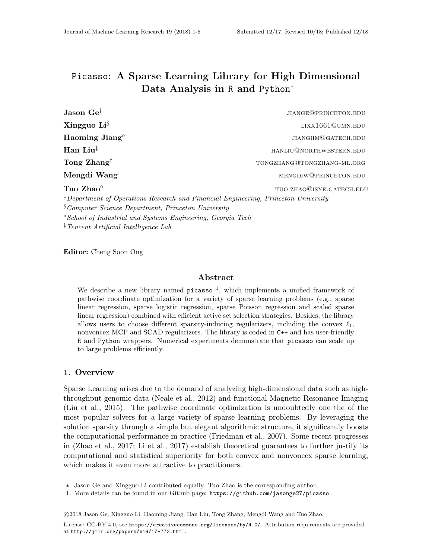# Picasso: A Sparse Learning Library for High Dimensional Data Analysis in R and Python<sup>∗</sup>

| Jason Ge <sup>T</sup>                                                                            | <b>JIANGE@PRINCETON.EDU</b>     |  |
|--------------------------------------------------------------------------------------------------|---------------------------------|--|
| Xingguo Li <sup>§</sup>                                                                          | LIXX1661@UMN.EDU                |  |
| Haoming Jiang <sup>®</sup>                                                                       | JIANGHM <sup>@</sup> GATECH.EDU |  |
| Han Liu <sup>‡</sup>                                                                             | HANLIU@NORTHWESTERN.EDU         |  |
| Tong Zhang <sup>†</sup>                                                                          | TONGZHANG@TONGZHANG-ML.ORG      |  |
| Mengdi Wang <sup>†</sup>                                                                         | MENGDIW@PRINCETON.EDU           |  |
| Tuo Zhao <sup>o</sup>                                                                            | TUO.ZHAO@ISYE.GATECH.EDU        |  |
| <i><u>†Department of Operations Research and Financial Engineering, Princeton University</u></i> |                                 |  |
| <sup>§</sup> Computer Science Department, Princeton University                                   |                                 |  |

School of Industrial and Systems Engineering, Georgia Tech

‡Tencent Artificial Intelligence Lab

Editor: Cheng Soon Ong

### Abstract

We describe a new library named  $p$ icasso<sup> $1$ </sup>, which implements a unified framework of pathwise coordinate optimization for a variety of sparse learning problems (e.g., sparse linear regression, sparse logistic regression, sparse Poisson regression and scaled sparse linear regression) combined with efficient active set selection strategies. Besides, the library allows users to choose different sparsity-inducing regularizers, including the convex  $\ell_1$ , nonvoncex MCP and SCAD regularizers. The library is coded in C++ and has user-friendly R and Python wrappers. Numerical experiments demonstrate that picasso can scale up to large problems efficiently.

## 1. Overview

Sparse Learning arises due to the demand of analyzing high-dimensional data such as highthroughput genomic data (Neale et al., 2012) and functional Magnetic Resonance Imaging (Liu et al., 2015). The pathwise coordinate optimization is undoubtedly one the of the most popular solvers for a large variety of sparse learning problems. By leveraging the solution sparsity through a simple but elegant algorithmic structure, it significantly boosts the computational performance in practice (Friedman et al., 2007). Some recent progresses in (Zhao et al., 2017; Li et al., 2017) establish theoretical guarantees to further justify its computational and statistical superiority for both convex and nonvoncex sparse learning, which makes it even more attractive to practitioners.

<sup>∗</sup>. Jason Ge and Xingguo Li contributed equally. Tuo Zhao is the corresponding author.

<sup>1.</sup> More details can be found in our Github page: https://github.com/jasonge27/picasso

c 2018 Jason Ge, Xingguo Li, Haoming Jiang, Han Liu, Tong Zhang, Mengdi Wang and Tuo Zhao.

License: CC-BY 4.0, see https://creativecommons.org/licenses/by/4.0/. Attribution requirements are provided at http://jmlr.org/papers/v19/17-772.html.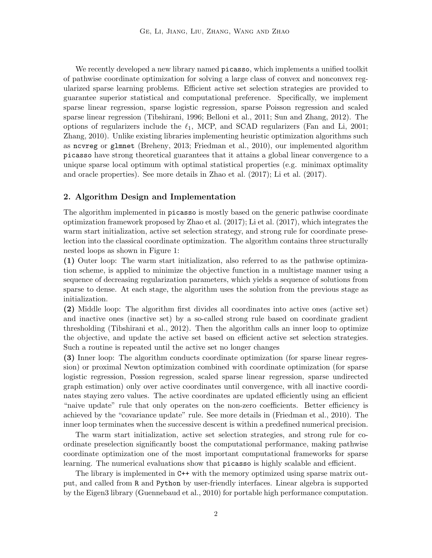We recently developed a new library named picasso, which implements a unified toolkit of pathwise coordinate optimization for solving a large class of convex and nonconvex regularized sparse learning problems. Efficient active set selection strategies are provided to guarantee superior statistical and computational preference. Specifically, we implement sparse linear regression, sparse logistic regression, sparse Poisson regression and scaled sparse linear regression (Tibshirani, 1996; Belloni et al., 2011; Sun and Zhang, 2012). The options of regularizers include the  $\ell_1$ , MCP, and SCAD regularizers (Fan and Li, 2001; Zhang, 2010). Unlike existing libraries implementing heuristic optimization algorithms such as ncvreg or glmnet (Breheny, 2013; Friedman et al., 2010), our implemented algorithm picasso have strong theoretical guarantees that it attains a global linear convergence to a unique sparse local optimum with optimal statistical properties (e.g. minimax optimality and oracle properties). See more details in Zhao et al. (2017); Li et al. (2017).

#### 2. Algorithm Design and Implementation

The algorithm implemented in picasso is mostly based on the generic pathwise coordinate optimization framework proposed by Zhao et al. (2017); Li et al. (2017), which integrates the warm start initialization, active set selection strategy, and strong rule for coordinate preselection into the classical coordinate optimization. The algorithm contains three structurally nested loops as shown in Figure 1:

(1) Outer loop: The warm start initialization, also referred to as the pathwise optimization scheme, is applied to minimize the objective function in a multistage manner using a sequence of decreasing regularization parameters, which yields a sequence of solutions from sparse to dense. At each stage, the algorithm uses the solution from the previous stage as initialization.

(2) Middle loop: The algorithm first divides all coordinates into active ones (active set) and inactive ones (inactive set) by a so-called strong rule based on coordinate gradient thresholding (Tibshirani et al., 2012). Then the algorithm calls an inner loop to optimize the objective, and update the active set based on efficient active set selection strategies. Such a routine is repeated until the active set no longer changes

(3) Inner loop: The algorithm conducts coordinate optimization (for sparse linear regression) or proximal Newton optimization combined with coordinate optimization (for sparse logistic regression, Possion regression, scaled sparse linear regression, sparse undirected graph estimation) only over active coordinates until convergence, with all inactive coordinates staying zero values. The active coordinates are updated efficiently using an efficient "naive update" rule that only operates on the non-zero coefficients. Better efficiency is achieved by the "covariance update" rule. See more details in (Friedman et al., 2010). The inner loop terminates when the successive descent is within a predefined numerical precision.

The warm start initialization, active set selection strategies, and strong rule for coordinate preselection significantly boost the computational performance, making pathwise coordinate optimization one of the most important computational frameworks for sparse learning. The numerical evaluations show that picasso is highly scalable and efficient.

The library is implemented in  $C++$  with the memory optimized using sparse matrix output, and called from R and Python by user-friendly interfaces. Linear algebra is supported by the Eigen3 library (Guennebaud et al., 2010) for portable high performance computation.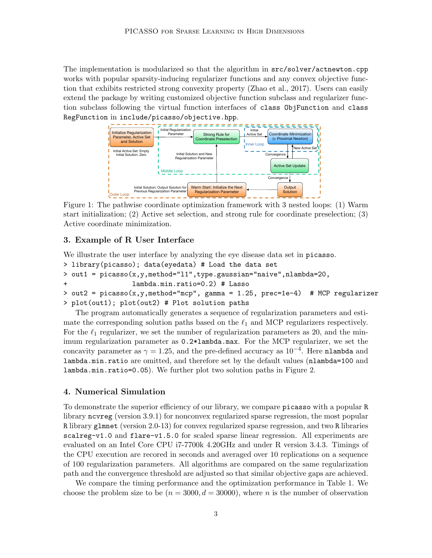The implementation is modularized so that the algorithm in src/solver/actnewton.cpp works with popular sparsity-inducing regularizer functions and any convex objective function that exhibits restricted strong convexity property (Zhao et al., 2017). Users can easily extend the package by writing customized objective function subclass and regularizer function subclass following the virtual function interfaces of class ObjFunction and class RegFunction in include/picasso/objective.hpp.



Figure 1: The pathwise coordinate optimization framework with 3 nested loops: (1) Warm start initialization; (2) Active set selection, and strong rule for coordinate preselection; (3) Active coordinate minimization.

#### 3. Example of R User Interface

We illustrate the user interface by analyzing the eye disease data set in picasso.

```
> library(picasso); data(eyedata) # Load the data set
```

```
> out1 = picasso(x,y,method="l1",type.gaussian="naive",nlambda=20,
```

```
+ lambda.min.ratio=0.2) # Lasso
```

```
> out2 = picasso(x,y,method="mcp", gamma = 1.25, prec=1e-4) # MCP regularizer
> plot(out1); plot(out2) # Plot solution paths
```
The program automatically generates a sequence of regularization parameters and estimate the corresponding solution paths based on the  $\ell_1$  and MCP regularizers respectively. For the  $\ell_1$  regularizer, we set the number of regularization parameters as 20, and the minimum regularization parameter as 0.2\*lambda.max. For the MCP regularizer, we set the concavity parameter as  $\gamma = 1.25$ , and the pre-defined accuracy as  $10^{-4}$ . Here nlambda and lambda.min.ratio are omitted, and therefore set by the default values (nlambda=100 and lambda.min.ratio=0.05). We further plot two solution paths in Figure 2.

### 4. Numerical Simulation

To demonstrate the superior efficiency of our library, we compare picasso with a popular R library ncvreg (version 3.9.1) for nonconvex regularized sparse regression, the most popular R library glmnet (version 2.0-13) for convex regularized sparse regression, and two R libraries scalreg-v1.0 and flare-v1.5.0 for scaled sparse linear regression. All experiments are evaluated on an Intel Core CPU i7-7700k 4.20GHz and under R version 3.4.3. Timings of the CPU execution are recored in seconds and averaged over 10 replications on a sequence of 100 regularization parameters. All algorithms are compared on the same regularization path and the convergence threshold are adjusted so that similar objective gaps are achieved.

We compare the timing performance and the optimization performance in Table 1. We choose the problem size to be  $(n = 3000, d = 30000)$ , where n is the number of observation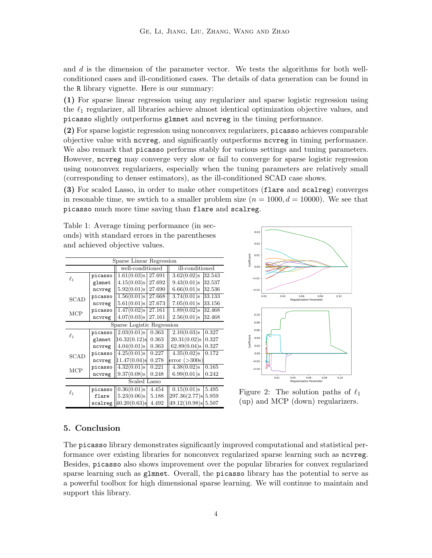and  $d$  is the dimension of the parameter vector. We tests the algorithms for both wellconditioned cases and ill-conditioned cases. The details of data generation can be found in the R library vignette. Here is our summary:

(1) For sparse linear regression using any regularizer and sparse logistic regression using the  $\ell_1$  regularizer, all libraries achieve almost identical optimization objective values, and picasso slightly outperforms glmnet and ncvreg in the timing performance.

(2) For sparse logistic regression using nonconvex regularizers, picasso achieves comparable objective value with ncvreg, and significantly outperforms ncvreg in timing performance. We also remark that picasso performs stably for various settings and tuning parameters. However, ncvreg may converge very slow or fail to converge for sparse logistic regression using nonconvex regularizers, especially when the tuning parameters are relatively small (corresponding to denser estimators), as the ill-conditioned SCAD case shows.

(3) For scaled Lasso, in order to make other competitors (flare and scalreg) converges in resonable time, we swtich to a smaller problem size  $(n = 1000, d = 10000)$ . We see that picasso much more time saving than flare and scalreg.

Table 1: Average timing performance (in seconds) with standard errors in the parentheses and achieved objective values.

| Sparse Linear Regression   |            |                                           |                          |  |
|----------------------------|------------|-------------------------------------------|--------------------------|--|
|                            |            | well-conditioned                          | ill-conditioned          |  |
| ŀ.                         | picasso    | 1.61(0.03) s 27.691                       | 3.62(0.02)s<br>32.543    |  |
|                            | glmnet     | $4.15(0.03)$ s 27.692                     | $9.43(0.01)$ s<br>32.537 |  |
|                            | ncvreg     | 5.92(0.01)s<br>27.690                     | 6.66(0.01)s<br>32.536    |  |
| SCAD                       | picasso    | 1.56(0.01)s 27.668                        | 3.74(0.01)s<br>33.133    |  |
|                            | ncvreg     | $5.61(0.01)$ s<br>27.673                  | $7.05(0.01)$ s<br>33.156 |  |
| MCP                        | picasso    | $1.47(0.02)s$ 27.161                      | $1.89(0.02)$ s<br>32.468 |  |
|                            | ncvreg     | $4.07(0.03)s$ 27.161                      | 2.56(0.01)s<br>32.468    |  |
| Sparse Logistic Regression |            |                                           |                          |  |
| ŀ.                         | picasso    | $2.03(0.01)$ s<br>0.363                   | $2.10(0.03)$ s<br>0.327  |  |
|                            | glmnet     | 16.32(0.12)s<br>0.363                     | 20.31(0.02)s 0.327       |  |
|                            | ncvreg     | $4.04(0.01)$ s<br>0.363                   | 62.89(0.04)s 0.327       |  |
| SCAD                       | picasso    | 4.25(0.01)s<br>0.227                      | $4.35(0.02)$ s<br>0.172  |  |
|                            | ncvreg     | 11.47(0.04)s<br>0.278                     | error( >300s)            |  |
| MCP                        | picasso    | 4.32(0.01)s<br>0.221                      | 4.38(0.02)s<br>10.165    |  |
|                            | ncvreg     | 9.37(0.08)s<br>0.248                      | 6.99(0.01)s<br>0.242     |  |
| Scaled Lasso               |            |                                           |                          |  |
| e,                         | picasso II | 4.454<br>$0.36(0.01)$ s                   | $0.15(0.01)$ s<br>5.495  |  |
|                            | flare      | 5.23(0.06)s<br>5.188                      | 297.36(2.77)s 5.959      |  |
|                            |            | $\texttt{scalareg}$ 40.20(0.63)s<br>4.492 | 49.12(10.98) s 5.507     |  |



Figure 2: The solution paths of  $\ell_1$ (up) and MCP (down) regularizers.

# 5. Conclusion

The picasso library demonstrates significantly improved computational and statistical performance over existing libraries for nonconvex regularized sparse learning such as ncvreg. Besides, picasso also shows improvement over the popular libraries for convex regularized sparse learning such as glmnet. Overall, the picasso library has the potential to serve as a powerful toolbox for high dimensional sparse learning. We will continue to maintain and support this library.